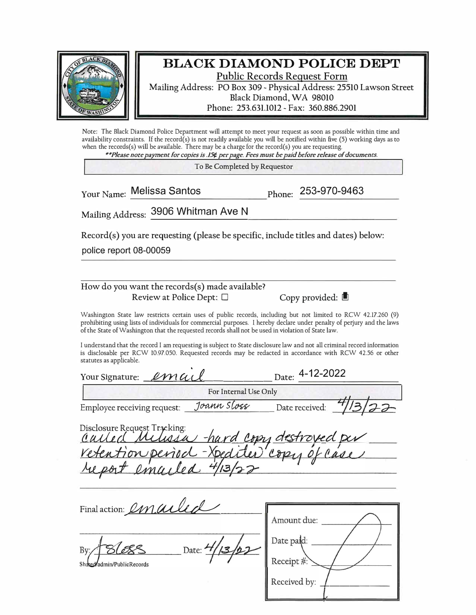

## **BLACK DIAMOND POLICE DEPT**

Public Records Request Form

Mailing Address: PO Box 309 - Physical Address: 25510 Lawson Street Black Diamond, WA 98010 Phone: 253.631.1012 - Fax: 360.886.2901

Note: The Black Diamond Police Department will attempt to meet your request as soon as possible within time and availability constraints. If the record(s) is not readily available you will be notified within five  $(5)$  working days as to when the records(s) will be available. There may be a charge for the record(s) you are requesting. *.... Please note payment for copies is .15¢ per page. Fees must be paid before release of documents.* 

**To Be Completed by Requestor** 

Your Name: Melissa Santos

Phone: **253-970-9463**

Mailing Address: 3906 Whitman Ave N

 $Record(s)$  you are requesting (please be specific, include titles and dates) below:

police report 08-00059

How do you want the records(s) made available? Review at Police Dept:  $\square$  Copy provided:

Washington State law restricts certain uses of public records, including but not limited to RCW 42.17.260 (9) prohibiting using lists of individuals for commercial purposes. I hereby declare under penalty of perjury and the laws of the State of Washington that the requested records shall not be used in violation of State law.

I understand that the record I am requesting is subject to State disclosure law and not all criminal record information is disclosable per RCW 10.97.050. Requested records may be redacted in accordance with RCW 42.56 or other statutes as applicable.

| Your Signature: <i>Imail</i> |                       | Date: 4-12-2022 |  |
|------------------------------|-----------------------|-----------------|--|
|                              | For Internal Use Only |                 |  |
| Employee receiving request:  | Joann Sloss           | Date received:  |  |

| Disclosure Request Tracking:<br>Culled Milissa hard copy destroyed per |
|------------------------------------------------------------------------|
|                                                                        |
| retention period - Xpediter copy of case                               |
| report emailed 4/13/22                                                 |

| Final action: <i>Imailed</i>        |                           |
|-------------------------------------|---------------------------|
|                                     | Amount due:<br>Date paid: |
| Date:<br>Shared admin/PublicRecords | Receipt                   |
|                                     | Received by:              |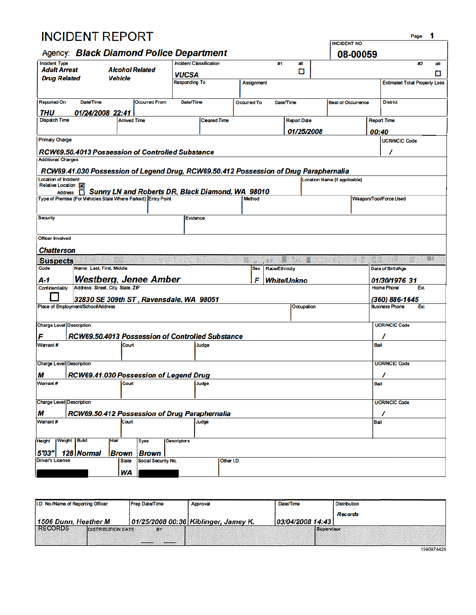|                                             | <b>INCIDENT REPORT</b>                                        |                        |                       |                                                                                       |                    |                                           |                    |                               |                        | Page                                       | 1   |
|---------------------------------------------|---------------------------------------------------------------|------------------------|-----------------------|---------------------------------------------------------------------------------------|--------------------|-------------------------------------------|--------------------|-------------------------------|------------------------|--------------------------------------------|-----|
|                                             |                                                               |                        |                       |                                                                                       |                    |                                           |                    | <b>INCIDENT NO</b>            |                        |                                            |     |
|                                             |                                                               |                        |                       | Agency: Black Diamond Police Department                                               |                    |                                           |                    |                               | 08-00059               |                                            |     |
| <b>Incident Type</b><br><b>Adult Arrest</b> |                                                               | <b>Alcohol Related</b> |                       | Incident Classification                                                               |                    | #1                                        | att<br>о           |                               |                        | #2                                         | att |
| <b>Drug Related</b>                         |                                                               | <b>Vehicle</b>         |                       | VUCSA                                                                                 |                    |                                           |                    |                               |                        |                                            | П   |
|                                             |                                                               |                        |                       | <b>Responding To</b>                                                                  |                    | <b>Assignment</b>                         |                    |                               |                        | <b>Estimated Total Property Loss</b>       |     |
|                                             |                                                               |                        |                       |                                                                                       |                    |                                           |                    |                               |                        |                                            |     |
| <b>Reported On</b>                          | Date/Time                                                     |                        | <b>Occurred From</b>  | Date/Time                                                                             | <b>Occurred To</b> |                                           | Date/Time          | <b>Beat of Occurrence</b>     |                        | <b>District</b>                            |     |
| <b>THU</b><br><b>Dispatch Time</b>          | 01/24/2008 22:41                                              | <b>Arrived Time</b>    |                       | <b>Cleared Time</b>                                                                   |                    |                                           | <b>Report Date</b> |                               |                        | <b>Report Time</b>                         |     |
|                                             |                                                               |                        |                       |                                                                                       |                    |                                           |                    |                               |                        |                                            |     |
| <b>Primary Charge</b>                       |                                                               |                        |                       |                                                                                       |                    |                                           | 01/25/2008         |                               | 00:40                  | <b>UCR/NCIC Code</b>                       |     |
|                                             |                                                               |                        |                       |                                                                                       |                    |                                           |                    |                               |                        |                                            |     |
| <b>Additional Charges</b>                   |                                                               |                        |                       | RCW69.50.4013 Possession of Controlled Substance                                      |                    |                                           |                    |                               |                        | ı                                          |     |
|                                             |                                                               |                        |                       |                                                                                       |                    |                                           |                    |                               |                        |                                            |     |
| Location of Incident:                       |                                                               |                        |                       | RCW69.41.030 Possession of Legend Drug, RCW69.50.412 Possession of Drug Paraphernalia |                    |                                           |                    | Location Name (if applicable) |                        |                                            |     |
| Relative Location [X]                       |                                                               |                        |                       |                                                                                       |                    |                                           |                    |                               |                        |                                            |     |
|                                             | Type of Premise (For Vehicles State Where Parked) Entry Point |                        |                       | Address <b>Externey LN and Roberts DR, Black Diamond, WA 98010</b>                    | Method             |                                           |                    |                               | Weapon/Tool/Force Used |                                            |     |
|                                             |                                                               |                        |                       |                                                                                       |                    |                                           |                    |                               |                        |                                            |     |
| <b>Security</b>                             |                                                               |                        |                       | Evidence                                                                              |                    |                                           |                    |                               |                        |                                            |     |
|                                             |                                                               |                        |                       |                                                                                       |                    |                                           |                    |                               |                        |                                            |     |
| <b>Officer Involved</b>                     |                                                               |                        |                       |                                                                                       |                    |                                           |                    |                               |                        |                                            |     |
|                                             |                                                               |                        |                       |                                                                                       |                    |                                           |                    |                               |                        |                                            |     |
| Chatterson                                  |                                                               |                        |                       |                                                                                       |                    |                                           | 騡<br>10 X          |                               |                        |                                            | 88  |
| <b>Suspects</b><br>Code                     | Name: Last, First, Middle                                     |                        |                       |                                                                                       |                    | 新鲜<br><b>Race/Ethnicity</b><br><b>Sex</b> |                    |                               |                        | Date of Birth/Age                          |     |
| A-1                                         |                                                               |                        | Westberg, Jenee Amber |                                                                                       |                    | F                                         |                    |                               |                        |                                            |     |
| <b>Confidentiality</b>                      | Address: Street, City, State, ZIP                             |                        |                       |                                                                                       |                    |                                           | <b>White/Unkno</b> |                               |                        | 01/30/1976 31<br><b>Home Phone</b><br>Ext. |     |
|                                             |                                                               |                        |                       | 32830 SE 309th ST, Ravensdale, WA 98051                                               |                    |                                           |                    |                               |                        | (360) 886-1645                             |     |
|                                             | Place of Employment/School/Address                            |                        |                       |                                                                                       |                    |                                           | Occupation         |                               |                        | <b>Business Phone</b><br>Ext.              |     |
|                                             |                                                               |                        |                       |                                                                                       |                    |                                           |                    |                               |                        |                                            |     |
| <b>Charge Level Description</b>             |                                                               |                        |                       |                                                                                       |                    |                                           |                    |                               |                        | <b>UCR/NCIC Code</b>                       |     |
| F                                           |                                                               |                        |                       | RCW69.50.4013 Possession of Controlled Substance                                      |                    |                                           |                    |                               |                        |                                            |     |
| Warrant#                                    |                                                               | Court                  |                       | Judge                                                                                 |                    |                                           |                    |                               | Bail                   |                                            |     |
|                                             |                                                               |                        |                       |                                                                                       |                    |                                           |                    |                               |                        |                                            |     |
| <b>Charge Level Description</b>             |                                                               |                        |                       |                                                                                       |                    |                                           |                    |                               |                        | <b>UCR/NCIC Code</b>                       |     |
| М                                           |                                                               |                        |                       | RCW69.41.030 Possession of Legend Drug                                                |                    |                                           |                    |                               |                        | 7                                          |     |
| Warrant #                                   |                                                               | Court                  |                       | Judge                                                                                 |                    |                                           |                    |                               | Bail                   |                                            |     |
|                                             |                                                               |                        |                       |                                                                                       |                    |                                           |                    |                               |                        |                                            |     |
| <b>Charge Level Description</b>             |                                                               |                        |                       |                                                                                       |                    |                                           |                    |                               |                        | <b>UCR/NCIC Code</b>                       |     |
| М                                           |                                                               |                        |                       | RCW69.50.412 Possession of Drug Paraphernalia                                         |                    |                                           |                    |                               |                        | 7                                          |     |
| Warrant #                                   |                                                               | Court                  |                       | Judge                                                                                 |                    |                                           |                    |                               | Bail                   |                                            |     |
|                                             |                                                               | <b>IHair</b>           |                       |                                                                                       |                    |                                           |                    |                               |                        |                                            |     |
| <b>Height</b>                               | Weight   Build                                                |                        | Eyes                  | <b>Descriptors</b>                                                                    |                    |                                           |                    |                               |                        |                                            |     |
| 5'03"                                       | 128   Normal                                                  | Brown                  | <b>Brown</b>          |                                                                                       |                    |                                           |                    |                               |                        |                                            |     |
| <b>Driver's License</b>                     |                                                               | <b>State</b>           | Social Security No.   |                                                                                       | Other I.D.         |                                           |                    |                               |                        |                                            |     |
|                                             |                                                               | WA                     |                       |                                                                                       |                    |                                           |                    |                               |                        |                                            |     |

| I.D No./Name of Reporting Officer          | <b>Prep Date/Time</b> | Approval                               | Date/Time        | <b>Distribution</b> |
|--------------------------------------------|-----------------------|----------------------------------------|------------------|---------------------|
|                                            |                       |                                        |                  | Records             |
| 1506 Dunn, Heather M                       |                       | 01/25/2008 00:36   Kiblinger, Jamey K. | 03/04/2008 14:43 |                     |
| <b>RECORDS</b><br><b>DISTRIBUTION DATE</b> | BY.                   |                                        | Supervisor       |                     |
|                                            |                       |                                        |                  |                     |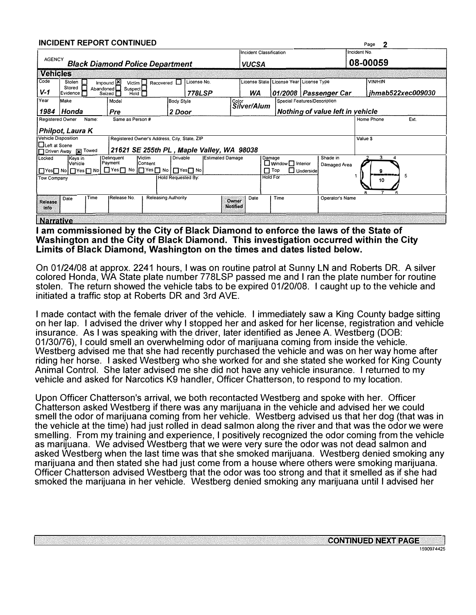|                                                                            |                                                                                  |           | <b>INCIDENT REPORT CONTINUED</b> |                                              |                                           |                 |                                         |                                             |                                  |              | 2<br>Page                |
|----------------------------------------------------------------------------|----------------------------------------------------------------------------------|-----------|----------------------------------|----------------------------------------------|-------------------------------------------|-----------------|-----------------------------------------|---------------------------------------------|----------------------------------|--------------|--------------------------|
|                                                                            |                                                                                  |           |                                  |                                              |                                           |                 | Incident Classification                 |                                             |                                  | Incident No. |                          |
|                                                                            | <b>AGENCY</b><br><b>Black Diamond Police Department</b><br><b>VUCSA</b>          |           |                                  |                                              |                                           |                 |                                         | 08-00059                                    |                                  |              |                          |
| <b>Vehicles</b>                                                            |                                                                                  |           |                                  |                                              |                                           |                 |                                         |                                             |                                  |              |                          |
| Code<br>Impound E<br>License No.<br>Stolen<br>Recovered L<br>Victim $\Box$ |                                                                                  |           |                                  |                                              |                                           |                 | License State License Year License Type |                                             | <b>VIN/HIN</b>                   |              |                          |
| $V-1$                                                                      | Stored<br>Evidence [                                                             | Abandoned | Suspect<br>Hold<br>Seized I      |                                              | 778LSP                                    |                 | WA                                      |                                             | 01/2008   Passenger Car          |              | <i>ihmab522xec009030</i> |
| Year                                                                       | Make                                                                             |           | Model                            | <b>Body Style</b>                            |                                           | Color           |                                         |                                             | Special Features/Description     |              |                          |
| 1984                                                                       | Silver/Alum<br><b>Honda</b><br>Pre<br>Nothing of value left in yehicle<br>2 Door |           |                                  |                                              |                                           |                 |                                         |                                             |                                  |              |                          |
|                                                                            | Same as Person#<br><b>Registered Owner</b><br>Name:                              |           |                                  |                                              |                                           |                 |                                         |                                             | Ext.<br>Home Phone               |              |                          |
|                                                                            | Philpot, Laura K                                                                 |           |                                  |                                              |                                           |                 |                                         |                                             |                                  |              |                          |
|                                                                            | <b>Vehicle Disposition</b>                                                       |           |                                  | Registered Owner's Address, City, State, ZIP |                                           |                 |                                         |                                             |                                  | Value \$     |                          |
| Inceft at Scene                                                            | Driven Away [x] Towed                                                            |           |                                  |                                              | 21621 SE 255th PL, Maple Valley, WA 98038 |                 |                                         |                                             |                                  |              |                          |
| Locked                                                                     | Keys in<br>Vehicle                                                               |           | Delinquent<br>Payment            | <b>Victim</b><br>Drivable<br><b>Consent</b>  | <b>Estimated Damage</b>                   |                 |                                         | Damage                                      | Shade in                         |              | 3                        |
|                                                                            |                                                                                  |           |                                  |                                              |                                           |                 |                                         | $\Box$ Window $\Box$ Interior<br>$\Box$ Top | Damaged Area<br>$\Box$ Underside |              | 9                        |
| Tow Company                                                                |                                                                                  |           |                                  | Hold Requested Bv:                           |                                           |                 |                                         | <b>Hold For</b>                             |                                  |              | 5<br>10                  |
|                                                                            |                                                                                  |           |                                  |                                              |                                           |                 |                                         |                                             |                                  |              |                          |
| <b>Release</b>                                                             | Date                                                                             | Time      | Release No.                      | <b>Releasing Authority</b>                   |                                           | Owner           | Date                                    | Time                                        | Operator's Name                  |              |                          |
| Info                                                                       |                                                                                  |           |                                  |                                              |                                           | <b>Notified</b> |                                         |                                             |                                  |              |                          |
| <b>Narrative</b>                                                           |                                                                                  |           |                                  |                                              |                                           |                 |                                         |                                             |                                  |              |                          |

**I am commissioned by the City of Black Diamond to enforce the laws of the State of Washington and the City of Black Diamond. This investigation occurred within the City Limits of Black Diamond, Washington on the times and dates listed below.** 

On 01/24/08 at approx. 2241 hours, I was on routine patrol at Sunny LN and Roberts DR. A silver colored Honda, WA State plate number 778LSP passed me and I ran the plate number for routine stolen. The return showed the vehicle tabs to be expired 01/20/08. I caught up to the vehicle and initiated a traffic stop at Roberts DR and 3rd AVE.

I made contact with the female driver of the vehicle. I immediately saw a King County badge sitting on her lap. I advised the driver why I stopped her and asked for her license, registration and vehicle insurance. As I was speaking with the driver, later identified as Jenee A. Westberg (DOB: 01/30/76), I could smell an overwhelming odor of marijuana coming from inside the vehicle. Westberg advised me that she had recently purchased the vehicle and was on her way home after riding her horse. I asked Westberg who she worked for and she stated she worked for King County Animal Control. She later advised me she did not have any vehicle insurance. I returned to my vehicle and asked for Narcotics K9 handler, Officer Chatterson, to respond to my location.

Upon Officer Chatterson's arrival, we both recontacted Westberg and spoke with her. Officer Chatterson asked Westberg if there was any marijuana in the vehicle and advised her we could smell the odor of marijuana coming from her vehicle. Westberg advised us that her dog (that was in the vehicle at the time) had just rolled in dead salmon along the river and that was the odor we were smelling. From my training and experience, I positively recognized the odor coming from the vehicle as marijuana. We advised Westberg that we were very sure the odor was not dead salmon and asked Westberg when the last time was that she smoked marijuana. Westberg denied smoking any marijuana and then stated she had just come from a house where others were smoking marijuana. Officer Chatterson advised Westberg that the odor was too strong and that it smelled as if she had smoked the marijuana in her vehicle. Westberg denied smoking any marijuana until I advised her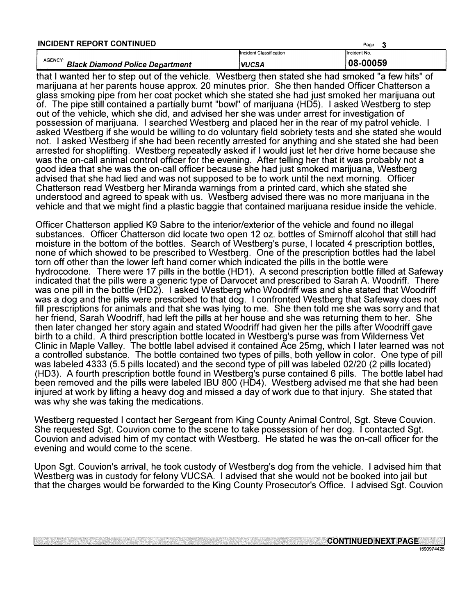| <b>INCIDENT REPORT CONTINUED</b>                              |                                | Page         |
|---------------------------------------------------------------|--------------------------------|--------------|
|                                                               | <b>Incident Classification</b> | Incident No. |
| AGENCY <sup>®</sup><br><b>Black Diamond Police Department</b> | <b>VUCSA</b>                   | 08-00059     |

that I wanted her to step out of the vehicle. Westberg then stated she had smoked "a few hits" of marijuana at her parents house approx. 20 minutes prior. She then handed Officer Chatterson a glass smoking pipe from her coat pocket which she stated she had just smoked her marijuana out of. The pipe still contained a partially burnt "bowl" of marijuana (HD5). I asked Westberg to step out of the vehicle, which she did, and advised her she was under arrest for investigation of possession of marijuana. I searched Westberg and placed her in the rear of my patrol vehicle. I asked Westberg if she would be willing to do voluntary field sobriety tests and she stated she would not. I asked Westberg if she had been recently arrested for anything and she stated she had been arrested for shoplifting. Westberg repeatedly asked if I would just let her drive home because she was the on-call animal control officer for the evening. After telling her that it was probably not a good idea that she was the on-call officer because she had just smoked marijuana, Westberg advised that she had lied and was not supposed to be to work until the next morning. Officer Chatterson read Westberg her Miranda warnings from a printed card, which she stated she understood and agreed to speak with us. Westberg advised there was no more marijuana in the vehicle and that we might find a plastic baggie that contained marijuana residue inside the vehicle.

Officer Chatterson applied K9 Sabre to the interior/exterior of the vehicle and found no illegal substances. Officer Chatterson did locate two open 12 oz. bottles of Smirnoff alcohol that still had moisture in the bottom of the bottles. Search of Westberg's purse, I located 4 prescription bottles, none of which showed to be prescribed to Westberg. One of the prescription bottles had the label torn off other than the lower left hand corner which indicated the pills in the bottle were hydrocodone. There were 17 pills in the bottle (HD1). A second prescription bottle filled at Safeway indicated that the pills were a generic type of Darvocet and prescribed to Sarah A. Woodriff. There was one pill in the bottle (HD2). I asked Westberg who Woodriff was and she stated that Woodriff was a dog and the pills were prescribed to that dog. I confronted Westberg that Safeway does not fill prescriptions for animals and that she was lying to me. She then told me she was sorry and that her friend, Sarah Woodriff, had left the pills at her house and she was returning them to her. She then later changed her story again and stated Woodriff had given her the pills after Woodriff gave birth to a child. A third prescription bottle located in Westberg's purse was from Wilderness Vet Clinic in Maple Valley. The bottle label advised it contained Ace 25mg, which I later learned was not a controlled substance. The bottle contained two types of pills, both yellow in color. One type of pill was labeled 4333 (5.5 pills located) and the second type of pill was labeled 02/20 (2 pills located) (HD3). A fourth prescription bottle found in Westberg's purse contained 6 pills. The bottle label had been removed and the pills were labeled IBU 800 (HD4). Westberg advised me that she had been injured at work by lifting a heavy dog and missed a day of work due to that injury. She stated that was why she was taking the medications.

Westberg requested I contact her Sergeant from King County Animal Control, Sgt. Steve Couvion. She requested Sgt. Couvion come to the scene to take possession of her dog. I contacted Sgt. Couvion and advised him of my contact with Westberg. He stated he was the on-call officer for the evening and would come to the scene.

Upon Sgt. Couvion's arrival, he took custody of Westberg's dog from the vehicle. I advised him that Westberg was in custody for felony VUCSA. I advised that she would not be booked into jail but that the charges would be forwarded to the King County Prosecutor's Office. I advised Sgt. Couvion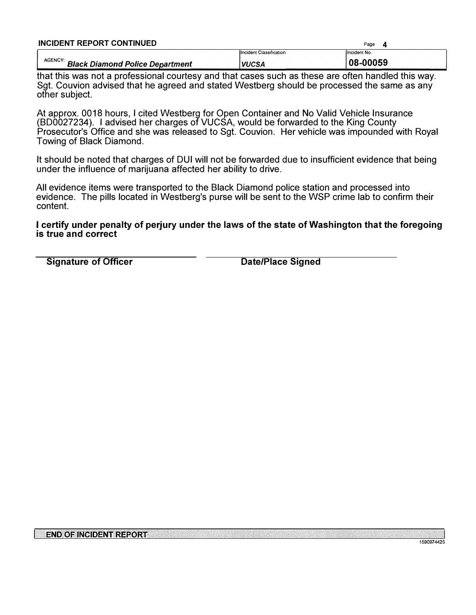| <b>INCIDENT REPORT CONTINUED</b>                        | Page                    |              |  |  |  |
|---------------------------------------------------------|-------------------------|--------------|--|--|--|
|                                                         | Incident Classification | Hncident No. |  |  |  |
| <b>AGENCY</b><br><b>Black Diamond Police Department</b> | VUCSA                   | 08-00059     |  |  |  |

that this was not a professional courtesy and that cases such as these are often handled this way. Sgt. Couvion advised that he agreed and stated Westberg should be processed the same as any other subject.

At approx. 0018 hours, I cited Westberg for Open Container and No Valid Vehicle Insurance (BD0027234). I advised her charges of VUCSA, would be forwarded to the King County Prosecutor's Office and she was released to Sgt. Couvion. Her vehicle was impounded with Royal Towing of Black Diamond.

It should be noted that charges of DUI will not be forwarded due to insufficient evidence that being under the influence of marijuana affected her ability to drive.

All evidence items were transported to the Black Diamond police station and processed into evidence. The pills located in Westberg's purse will be sent to the WSP crime lab to confirm their content.

## **I certify under penalty of perjury under the laws of the state of Washington that the foregoing is true and correct**

**Signature of Officer Community Constraining Constraining Date/Place Signed**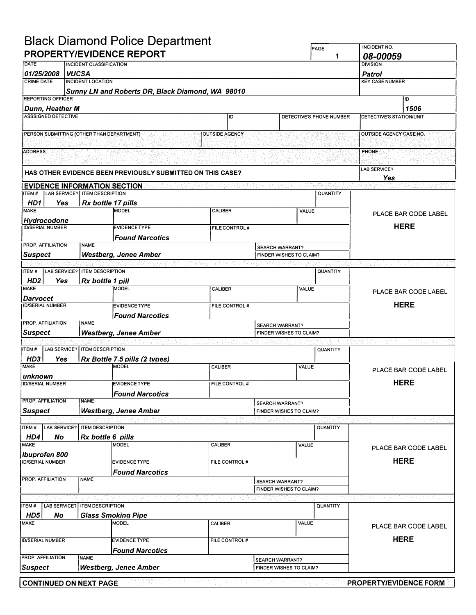## **Black Diamond Police Department**

|                                                                              |              |                                 | Diack Diamond Folice Department                                   |                       |             |                                                   | PAGE                     | <b>INCIDENT NO.</b>             |
|------------------------------------------------------------------------------|--------------|---------------------------------|-------------------------------------------------------------------|-----------------------|-------------|---------------------------------------------------|--------------------------|---------------------------------|
|                                                                              |              |                                 | <b>PROPERTY/EVIDENCE REPORT</b>                                   |                       |             |                                                   | 1                        | 08-00059                        |
| DATE                                                                         |              | <b>INCIDENT CLASSIFICATION</b>  |                                                                   |                       |             |                                                   |                          | <b>DIVISION</b>                 |
| 01/25/2008<br><b>CRIME DATE</b>                                              | <b>VUCSA</b> | <b>INCIDENT LOCATION</b>        |                                                                   |                       |             |                                                   |                          | <b>Patrol</b>                   |
|                                                                              |              |                                 | Sunny LN and Roberts DR, Black Diamond, WA 98010                  |                       |             |                                                   |                          | <b>KEY CASE NUMBER</b>          |
| <b>REPORTING OFFICER</b>                                                     |              |                                 |                                                                   |                       |             |                                                   |                          | ID                              |
| <b>Dunn, Heather M</b>                                                       |              |                                 |                                                                   |                       |             |                                                   |                          | 1506                            |
| <b>ASSSIGNED DETECTIVE</b>                                                   |              |                                 |                                                                   | ID                    |             |                                                   | DETECTIVE'S PHONE NUMBER | <b>DETECTIVE'S STATION/UNIT</b> |
|                                                                              |              |                                 |                                                                   |                       |             |                                                   |                          |                                 |
| PERSON SUBMITTING (OTHER THAN DEPARTMENT)                                    |              |                                 |                                                                   | <b>OUTSIDE AGENCY</b> |             |                                                   |                          | <b>OUTSIDE AGENCY CASE NO.</b>  |
|                                                                              |              |                                 |                                                                   |                       |             |                                                   |                          |                                 |
| <b>ADDRESS</b>                                                               |              |                                 |                                                                   |                       |             |                                                   |                          | PHONE                           |
|                                                                              |              |                                 |                                                                   |                       |             |                                                   |                          | LAB SERVICE?                    |
|                                                                              |              |                                 | <b>HAS OTHER EVIDENCE BEEN PREVIOUSLY SUBMITTED ON THIS CASE?</b> |                       |             |                                                   |                          | Yes                             |
| <b>EVIDENCE INFORMATION SECTION</b>                                          |              |                                 |                                                                   |                       |             |                                                   |                          |                                 |
| ITEM#                                                                        |              | LAB SERVICE? I ITEM DESCRIPTION |                                                                   |                       |             |                                                   | QUANTITY                 |                                 |
| HD1<br><b>Yes</b><br><b>MAKE</b>                                             |              | Rx bottle 17 pills              |                                                                   |                       |             |                                                   |                          |                                 |
|                                                                              |              |                                 | <b>MODEL</b>                                                      | CALIBER               |             | VALUE                                             |                          | PLACE BAR CODE LABEL            |
| Hydrocodone<br><b>ID/SERIAL NUMBER</b>                                       |              |                                 | <b>EVIDENCETYPE</b>                                               | FILE CONTROL#         |             |                                                   |                          | <b>HERE</b>                     |
|                                                                              |              |                                 | <b>Found Narcotics</b>                                            |                       |             |                                                   |                          |                                 |
| <b>PROP. AFFILIATION</b>                                                     |              | <b>NAME</b>                     |                                                                   |                       |             | <b>SEARCH WARRANT?</b>                            |                          |                                 |
| <b>Suspect</b>                                                               |              |                                 | <b>Westberg, Jenee Amber</b>                                      |                       |             | FINDER WISHES TO CLAIM?                           |                          |                                 |
|                                                                              |              |                                 |                                                                   |                       |             |                                                   |                          |                                 |
| LAB SERVICE?<br>ITEM#                                                        |              | <b>ITEM DESCRIPTION</b>         |                                                                   |                       |             |                                                   | QUANTITY                 |                                 |
| HD <sub>2</sub><br><b>Yes</b>                                                |              | Rx bottle 1 pill                |                                                                   |                       |             |                                                   |                          |                                 |
| <b>MAKE</b>                                                                  |              |                                 | MODEL                                                             | CALIBER               |             | <b>VALUE</b>                                      |                          | PLACE BAR CODE LABEL            |
| Darvocet<br><b>ID/SERIAL NUMBER</b><br><b>EVIDENCETYPE</b><br>FILE CONTROL # |              |                                 |                                                                   |                       | <b>HERE</b> |                                                   |                          |                                 |
|                                                                              |              |                                 | <b>Found Narcotics</b>                                            |                       |             |                                                   |                          |                                 |
| PROP. AFFILIATION                                                            |              | <b>NAME</b>                     |                                                                   |                       |             | SEARCH WARRANT?                                   |                          |                                 |
| <b>Suspect</b>                                                               |              |                                 | <b>Westberg, Jenee Amber</b>                                      |                       |             | FINDER WISHES TO CLAIM?                           |                          |                                 |
|                                                                              |              |                                 |                                                                   |                       |             |                                                   |                          |                                 |
| ITEM#                                                                        |              | LAB SERVICE? ITEM DESCRIPTION   |                                                                   |                       |             |                                                   | QUANTITY                 |                                 |
| HD3<br>Yes                                                                   |              |                                 | Rx Bottle 7.5 pills (2 types)                                     |                       |             |                                                   |                          |                                 |
| <b>MAKE</b>                                                                  |              |                                 | MODEL                                                             | CALIBER               |             | VALUE                                             |                          | PLACE BAR CODE LABEL            |
| unknown<br><b>ID/SERIAL NUMBER</b>                                           |              |                                 | <b>EVIDENCE TYPE</b>                                              | FILE CONTROL #        |             |                                                   |                          | <b>HERE</b>                     |
|                                                                              |              |                                 | <b>Found Narcotics</b>                                            |                       |             |                                                   |                          |                                 |
| <b>PROP. AFFILIATION</b>                                                     |              | <b>NAME</b>                     |                                                                   |                       |             | <b>SEARCH WARRANT?</b>                            |                          |                                 |
| <b>Suspect</b>                                                               |              |                                 | <b>Westberg, Jenee Amber</b>                                      |                       |             | FINDER WISHES TO CLAIM?                           |                          |                                 |
|                                                                              |              |                                 |                                                                   |                       |             |                                                   |                          |                                 |
| ITEM#                                                                        |              | LAB SERVICE?   ITEM DESCRIPTION |                                                                   |                       |             |                                                   | QUANTITY                 |                                 |
| HD4<br>No                                                                    |              | Rx bottle 6 pills               |                                                                   |                       |             |                                                   |                          |                                 |
| <b>MAKE</b>                                                                  |              |                                 | <b>MODEL</b>                                                      | CALIBER               |             | VALUE                                             |                          | PLACE BAR CODE LABEL            |
| <b>Ibuprofen 800</b><br><b>ID/SERIAL NUMBER</b>                              |              |                                 | <b>EVIDENCE TYPE</b>                                              | FILE CONTROL #        |             |                                                   |                          | <b>HERE</b>                     |
|                                                                              |              |                                 | <b>Found Narcotics</b>                                            |                       |             |                                                   |                          |                                 |
| PROP. AFFILIATION                                                            |              | <b>NAME</b>                     |                                                                   |                       |             | <b>SEARCH WARRANT?</b>                            |                          |                                 |
|                                                                              |              |                                 |                                                                   |                       |             | FINDER WISHES TO CLAIM?                           |                          |                                 |
|                                                                              |              |                                 |                                                                   |                       |             |                                                   |                          |                                 |
| ITEM#                                                                        |              | LAB SERVICE?   ITEM DESCRIPTION |                                                                   |                       |             |                                                   | QUANTITY                 |                                 |
| HD5<br>No                                                                    |              |                                 | <b>Glass Smoking Pipe</b>                                         |                       |             |                                                   |                          |                                 |
| <b>MAKE</b>                                                                  |              |                                 | <b>MODEL</b>                                                      | CALIBER               |             | VALUE                                             |                          | PLACE BAR CODE LABEL            |
| <b>ID/SERIAL NUMBER</b>                                                      |              |                                 | <b>EVIDENCE TYPE</b>                                              | FILE CONTROL #        |             |                                                   |                          | <b>HERE</b>                     |
|                                                                              |              |                                 |                                                                   |                       |             |                                                   |                          |                                 |
| PROP. AFFILIATION                                                            |              | <b>NAME</b>                     | <b>Found Narcotics</b>                                            |                       |             |                                                   |                          |                                 |
| <b>Suspect</b>                                                               |              |                                 | <b>Westberg, Jenee Amber</b>                                      |                       |             | <b>SEARCH WARRANT?</b><br>FINDER WISHES TO CLAIM? |                          |                                 |
|                                                                              |              |                                 |                                                                   |                       |             |                                                   |                          |                                 |
| <b>CONTINUED ON NEXT PAGE</b>                                                |              |                                 |                                                                   |                       |             |                                                   |                          | <b>PROPERTY/EVIDENCE FORM</b>   |